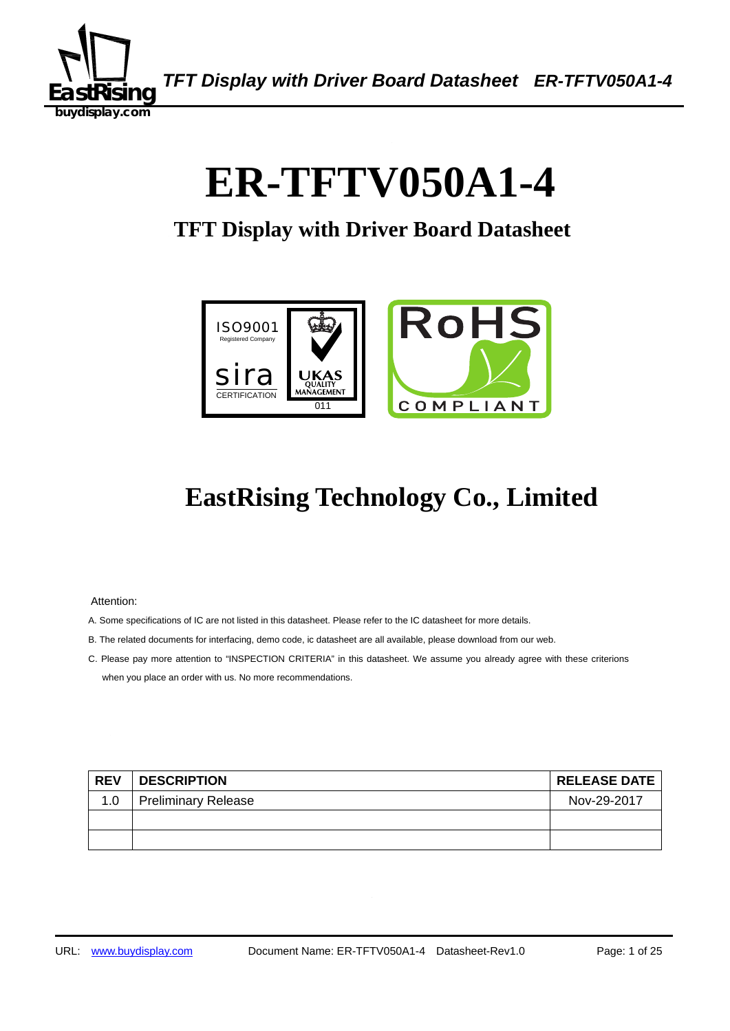

# 0B 1B**ER-TFTV050A1-4**

## **TFT Display with Driver Board Datasheet**



## **EastRising Technology Co., Limited**

Attention:

- A. Some specifications of IC are not listed in this datasheet. Please refer to the IC datasheet for more details.
- B. The related documents for interfacing, demo code, ic datasheet are all available, please download from our web.
- C. Please pay more attention to "INSPECTION CRITERIA" in this datasheet. We assume you already agree with these criterions when you place an order with us. No more recommendations.

| <b>REV</b> | <b>DESCRIPTION</b>         | <b>RELEASE DATE</b> |
|------------|----------------------------|---------------------|
| 1.0        | <b>Preliminary Release</b> | Nov-29-2017         |
|            |                            |                     |
|            |                            |                     |
|            |                            |                     |
|            |                            |                     |
|            |                            |                     |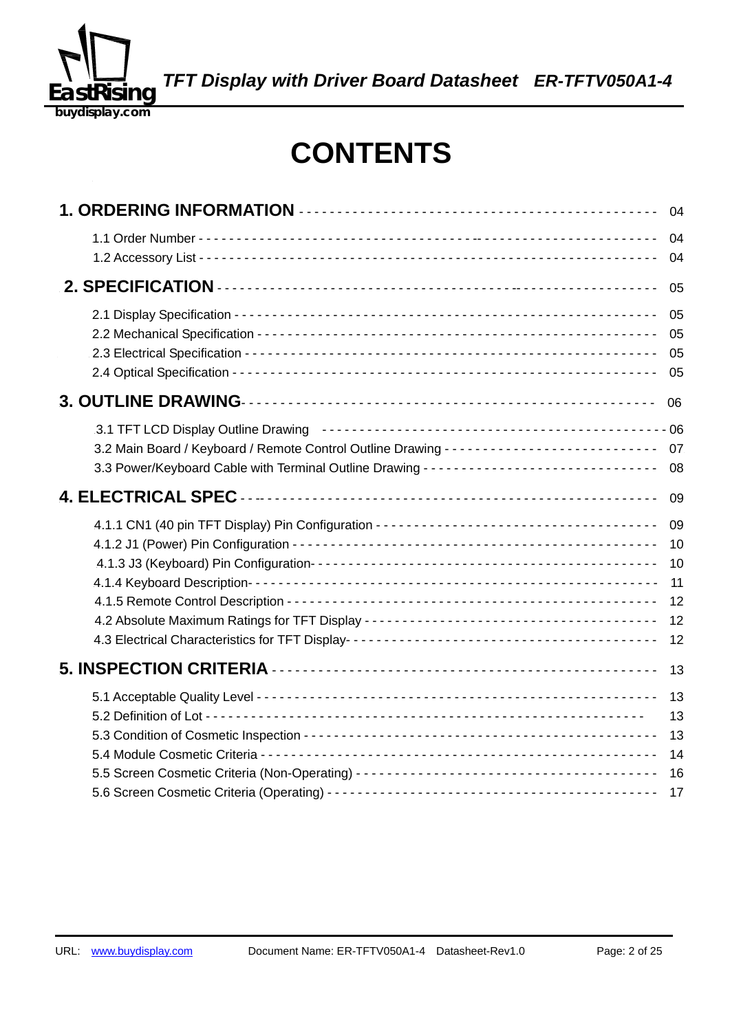

## **CONTENTS**

|  | 04                                     |
|--|----------------------------------------|
|  | 04<br>04                               |
|  | 05                                     |
|  | 05<br>05<br>05<br>05                   |
|  | 06                                     |
|  | 07<br>08                               |
|  | 09                                     |
|  | 09<br>10<br>10<br>11<br>12<br>12<br>12 |
|  | 13                                     |
|  | 13<br>13<br>13<br>14<br>16<br>17       |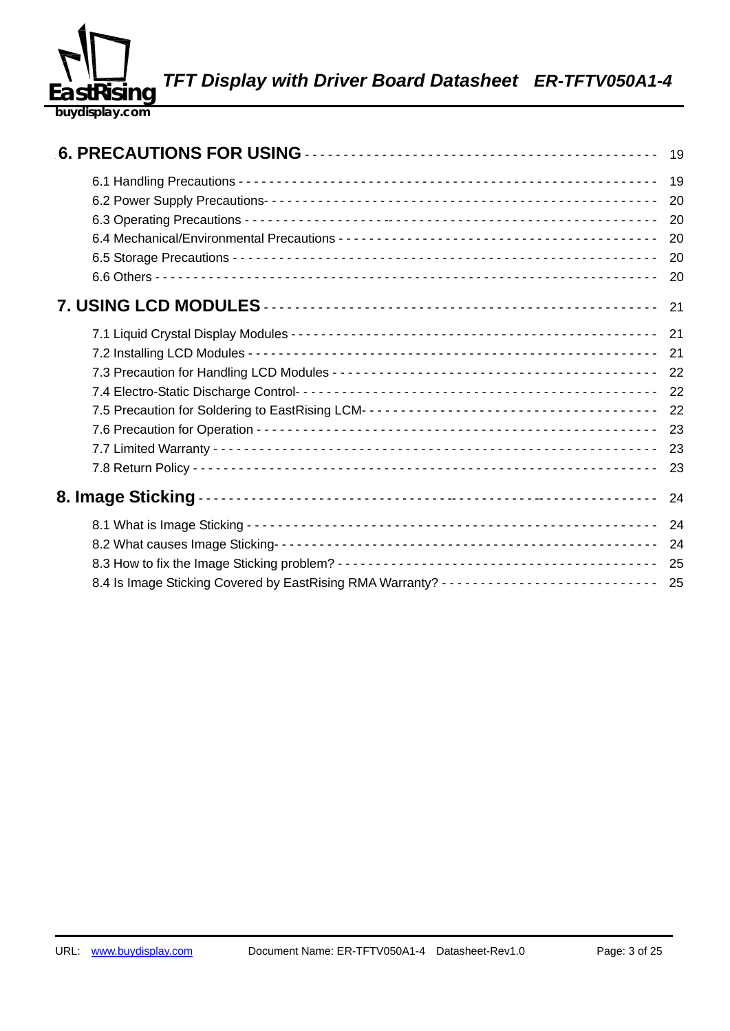

|                                                                                          | 19 |
|------------------------------------------------------------------------------------------|----|
|                                                                                          | 19 |
|                                                                                          | 20 |
|                                                                                          | 20 |
|                                                                                          | 20 |
|                                                                                          | 20 |
|                                                                                          | 20 |
|                                                                                          | 21 |
|                                                                                          | 21 |
|                                                                                          | 21 |
|                                                                                          | 22 |
|                                                                                          | 22 |
|                                                                                          | 22 |
|                                                                                          | 23 |
|                                                                                          | 23 |
|                                                                                          | 23 |
|                                                                                          | 24 |
|                                                                                          | 24 |
|                                                                                          | 24 |
|                                                                                          | 25 |
| 8.4 Is Image Sticking Covered by EastRising RMA Warranty? --------------------------- 25 |    |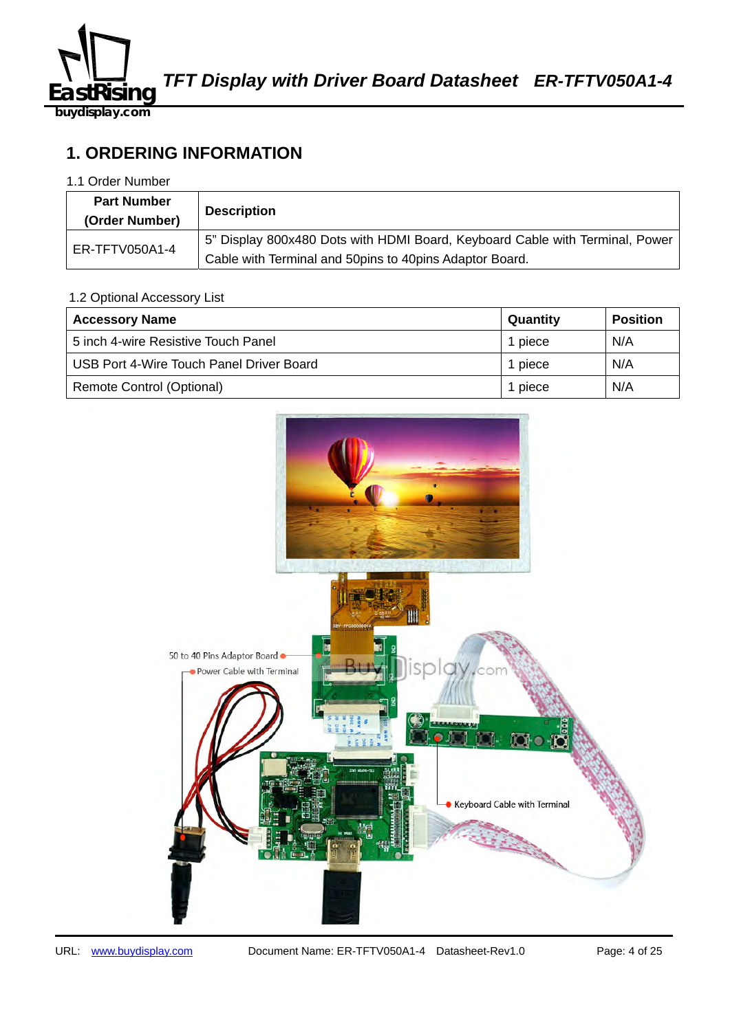

## **1. ORDERING INFORMATION**

#### 1.1 Order Number

| <b>Part Number</b><br>(Order Number) | <b>Description</b>                                                           |
|--------------------------------------|------------------------------------------------------------------------------|
| ER-TFTV050A1-4                       | 5" Display 800x480 Dots with HDMI Board, Keyboard Cable with Terminal, Power |
|                                      | Cable with Terminal and 50pins to 40pins Adaptor Board.                      |

#### 1.2 Optional Accessory List

| <b>Accessory Name</b>                    | Quantity | <b>Position</b> |
|------------------------------------------|----------|-----------------|
| 5 inch 4-wire Resistive Touch Panel      | 1 piece  | N/A             |
| USB Port 4-Wire Touch Panel Driver Board | 1 piece  | N/A             |
| Remote Control (Optional)                | 1 piece  | N/A             |

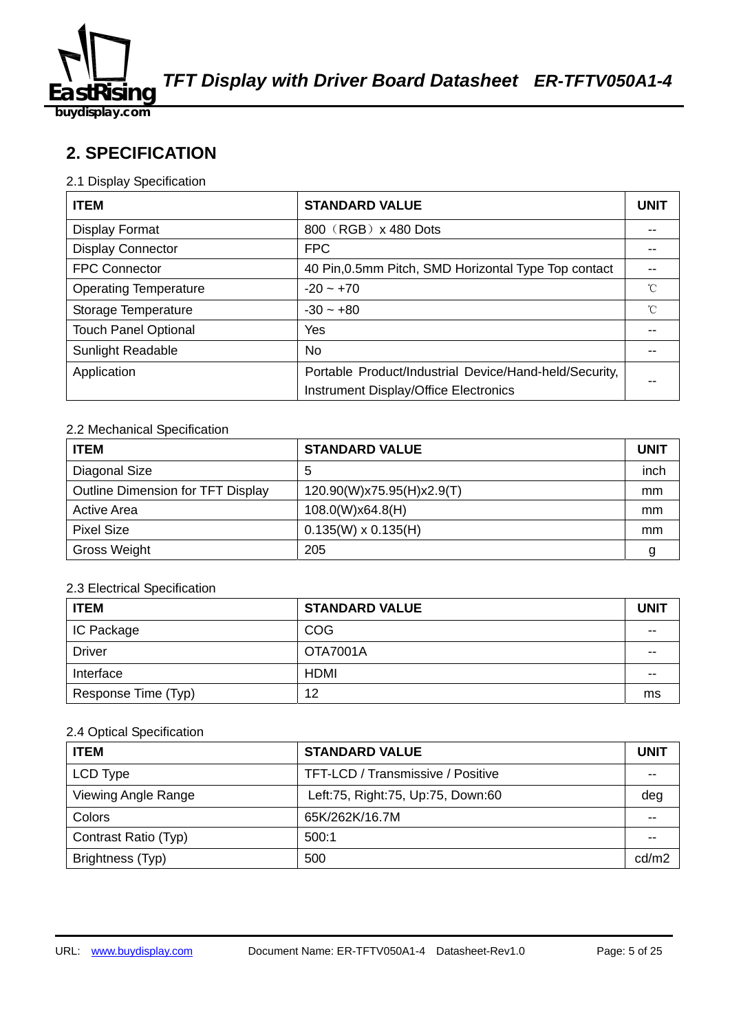

**buydisplay.com**

## **2. SPECIFICATION**

#### 2.1 Display Specification

| <b>ITEM</b>                  | <b>STANDARD VALUE</b>                                  | <b>UNIT</b> |
|------------------------------|--------------------------------------------------------|-------------|
| <b>Display Format</b>        | 800 (RGB) x 480 Dots                                   |             |
| <b>Display Connector</b>     | <b>FPC</b>                                             |             |
| <b>FPC Connector</b>         | 40 Pin, 0.5mm Pitch, SMD Horizontal Type Top contact   |             |
| <b>Operating Temperature</b> | $-20 - +70$                                            | °C          |
| Storage Temperature          | $-30 - +80$                                            | °C          |
| <b>Touch Panel Optional</b>  | Yes                                                    |             |
| <b>Sunlight Readable</b>     | No.                                                    |             |
| Application                  | Portable Product/Industrial Device/Hand-held/Security, |             |
|                              | Instrument Display/Office Electronics                  |             |

#### 2.2 Mechanical Specification

| <b>ITEM</b>                       | <b>STANDARD VALUE</b>      | <b>UNIT</b> |
|-----------------------------------|----------------------------|-------------|
| Diagonal Size                     | 5                          | inch        |
| Outline Dimension for TFT Display | 120.90(W)x75.95(H)x2.9(T)  | mm          |
| <b>Active Area</b>                | 108.0(W)x64.8(H)           | mm          |
| <b>Pixel Size</b>                 | $0.135(W) \times 0.135(H)$ | mm          |
| <b>Gross Weight</b>               | 205                        | g           |

#### 2.3 Electrical Specification

| <b>ITEM</b>         | <b>STANDARD VALUE</b> | <b>UNIT</b> |
|---------------------|-----------------------|-------------|
| <b>IC Package</b>   | <b>COG</b>            | $- -$       |
| Driver              | <b>OTA7001A</b>       | --          |
| Interface           | <b>HDMI</b>           | --          |
| Response Time (Typ) | 12                    | ms          |

#### 2.4 Optical Specification

| <b>ITEM</b>          | <b>STANDARD VALUE</b>             | UNIT  |
|----------------------|-----------------------------------|-------|
| LCD Type             | TFT-LCD / Transmissive / Positive |       |
| Viewing Angle Range  | Left:75, Right:75, Up:75, Down:60 | deg   |
| Colors               | 65K/262K/16.7M                    | --    |
| Contrast Ratio (Typ) | 500:1                             |       |
| Brightness (Typ)     | 500                               | cd/m2 |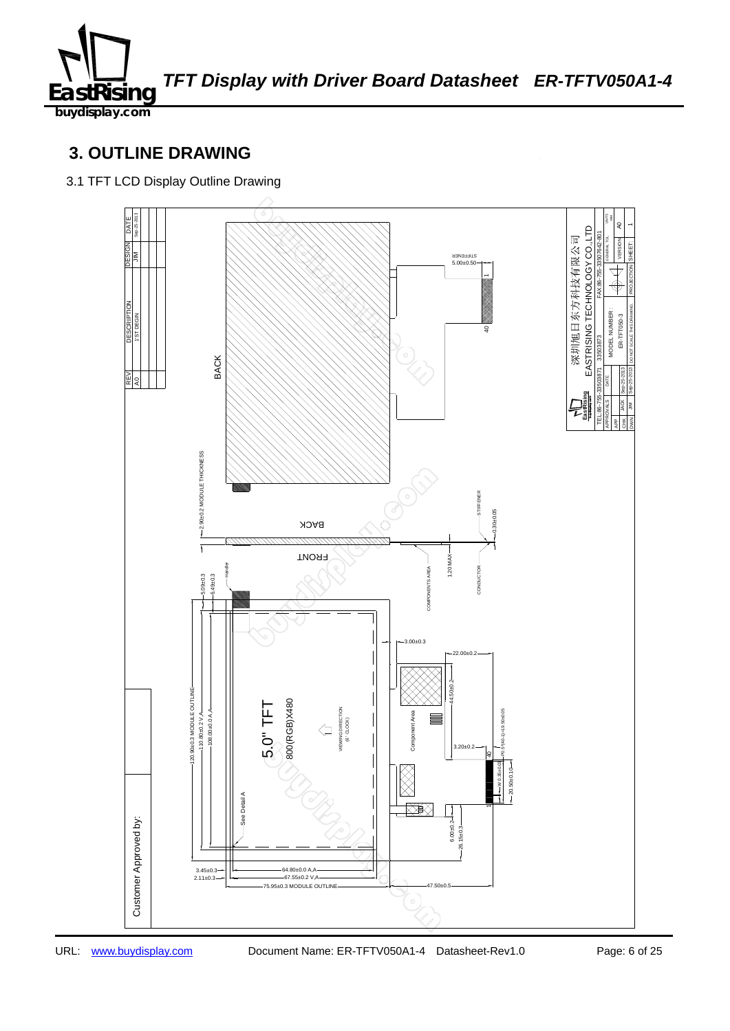

**buydisplay.com**

## **3. OUTLINE DRAWING**

3.1 TFT LCD Display Outline Drawing

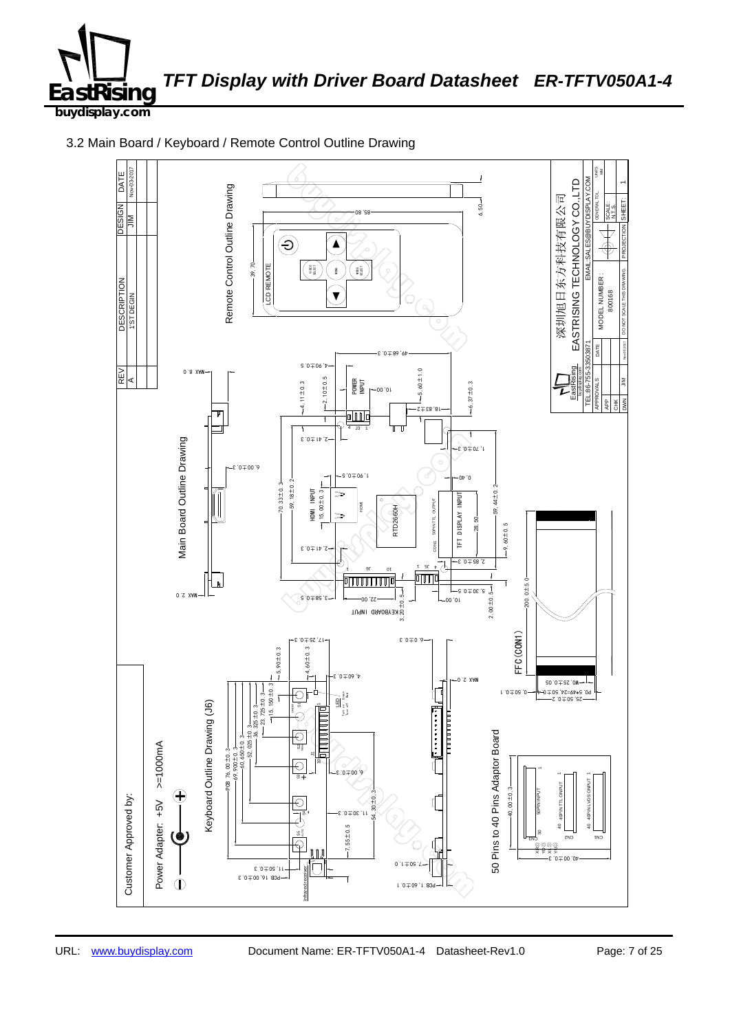

3.2 Main Board / Keyboard / Remote Control Outline Drawing

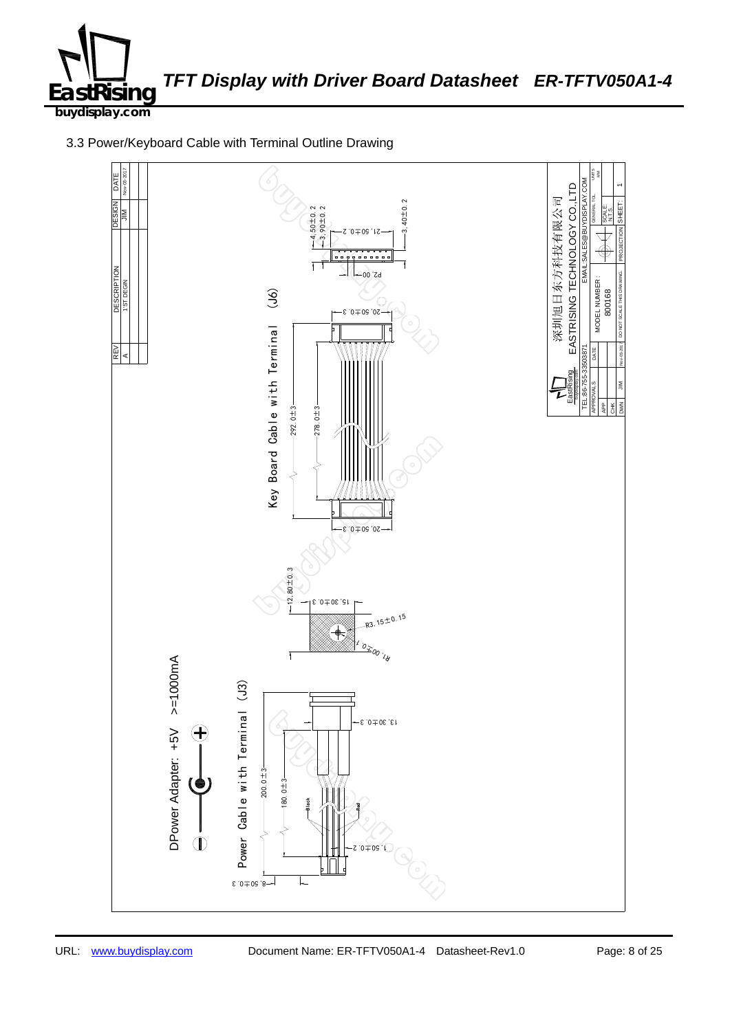

3.3 Power/Keyboard Cable with Terminal Outline Drawing

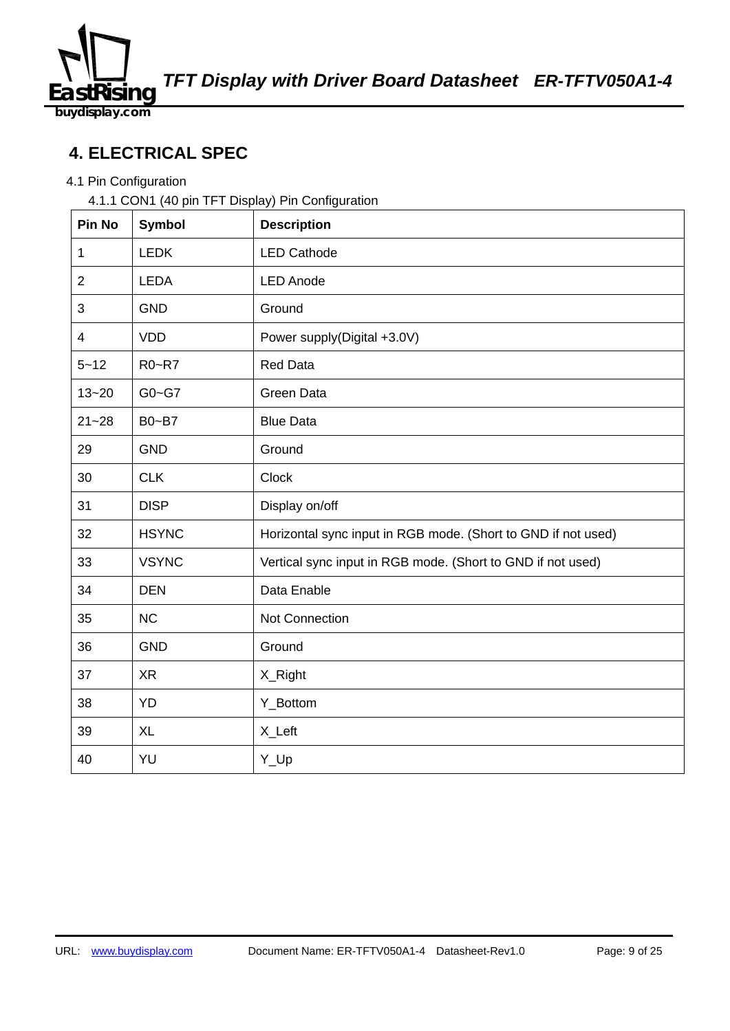

176B385240716 **4. ELECTRICAL SPEC** 

## 4.1 Pin Configuration

4.1.1 CON1 (40 pin TFT Display) Pin Configuration

| Pin No         | <b>Symbol</b> | <b>Description</b>                                            |
|----------------|---------------|---------------------------------------------------------------|
| 1              | <b>LEDK</b>   | <b>LED Cathode</b>                                            |
| $\overline{2}$ | <b>LEDA</b>   | <b>LED Anode</b>                                              |
| 3              | <b>GND</b>    | Ground                                                        |
| $\overline{4}$ | <b>VDD</b>    | Power supply(Digital +3.0V)                                   |
| $5 - 12$       | R0~R7         | <b>Red Data</b>                                               |
| $13 - 20$      | $G0 - G7$     | <b>Green Data</b>                                             |
| $21 - 28$      | B0~B7         | <b>Blue Data</b>                                              |
| 29             | <b>GND</b>    | Ground                                                        |
| 30             | <b>CLK</b>    | Clock                                                         |
| 31             | <b>DISP</b>   | Display on/off                                                |
| 32             | <b>HSYNC</b>  | Horizontal sync input in RGB mode. (Short to GND if not used) |
| 33             | <b>VSYNC</b>  | Vertical sync input in RGB mode. (Short to GND if not used)   |
| 34             | <b>DEN</b>    | Data Enable                                                   |
| 35             | <b>NC</b>     | Not Connection                                                |
| 36             | <b>GND</b>    | Ground                                                        |
| 37             | <b>XR</b>     | X_Right                                                       |
| 38             | <b>YD</b>     | Y_Bottom                                                      |
| 39             | <b>XL</b>     | X_Left                                                        |
| 40             | YU            | Y_Up                                                          |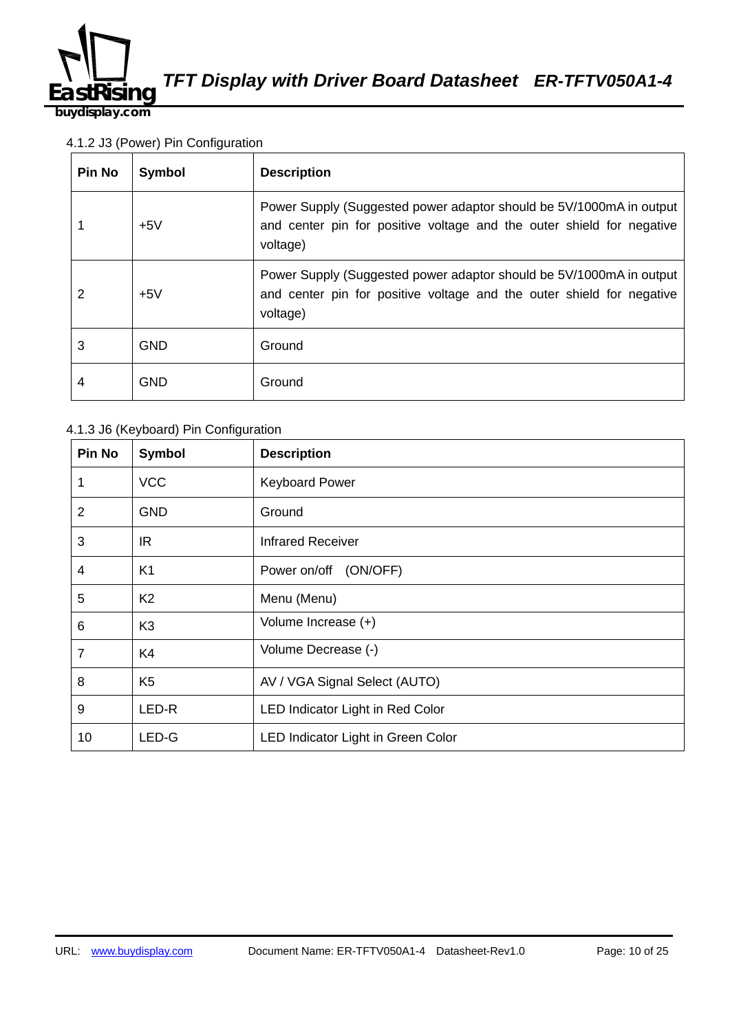

**buydisplay.com**

#### 4.1.2 J3 (Power) Pin Configuration

| <b>Pin No</b> | Symbol     | <b>Description</b>                                                                                                                                       |
|---------------|------------|----------------------------------------------------------------------------------------------------------------------------------------------------------|
|               | $+5V$      | Power Supply (Suggested power adaptor should be 5V/1000mA in output<br>and center pin for positive voltage and the outer shield for negative<br>voltage) |
| 2             | $+5V$      | Power Supply (Suggested power adaptor should be 5V/1000mA in output<br>and center pin for positive voltage and the outer shield for negative<br>voltage) |
| 3             | <b>GND</b> | Ground                                                                                                                                                   |
| 4             | <b>GND</b> | Ground                                                                                                                                                   |

#### 4.1.3 J6 (Keyboard) Pin Configuration

| Pin No         | <b>Symbol</b>  | <b>Description</b>                 |
|----------------|----------------|------------------------------------|
| 1              | <b>VCC</b>     | <b>Keyboard Power</b>              |
| $\overline{2}$ | <b>GND</b>     | Ground                             |
| 3              | IR.            | <b>Infrared Receiver</b>           |
| $\overline{4}$ | K <sub>1</sub> | Power on/off (ON/OFF)              |
| 5              | K <sub>2</sub> | Menu (Menu)                        |
| 6              | K <sub>3</sub> | Volume Increase (+)                |
| $\overline{7}$ | K4             | Volume Decrease (-)                |
| 8              | K <sub>5</sub> | AV / VGA Signal Select (AUTO)      |
| 9              | LED-R          | LED Indicator Light in Red Color   |
| 10             | LED-G          | LED Indicator Light in Green Color |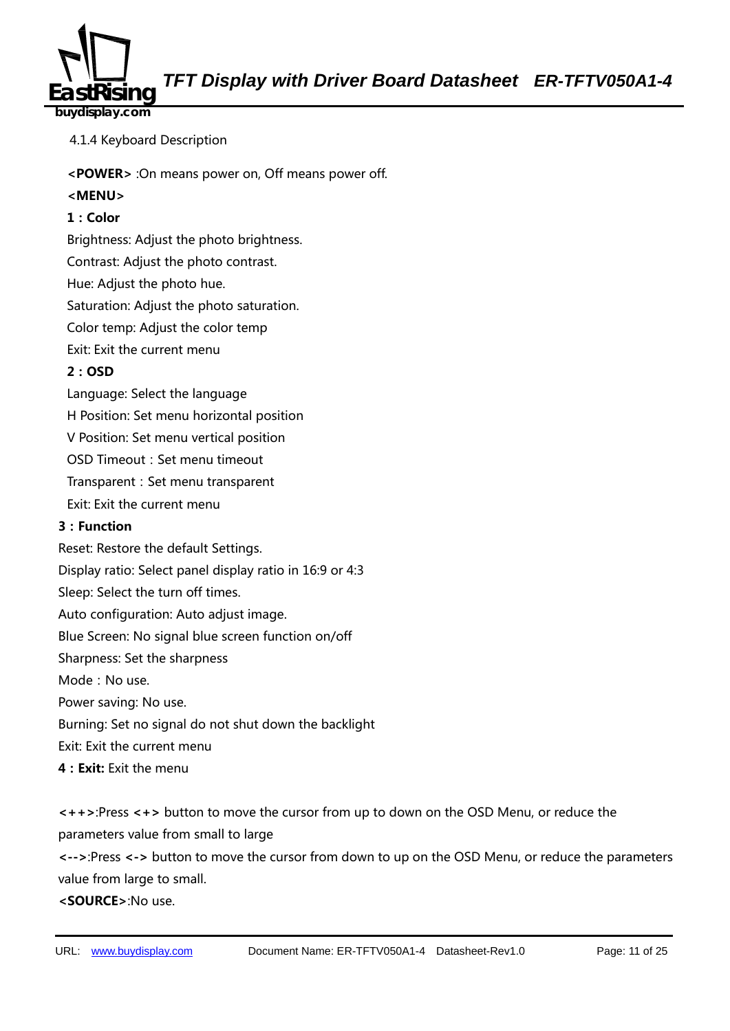

### **buydisplay.com**

- 4.1.4 Keyboard Description
- **<POWER>** :On means power on, Off means power off.

#### **<MENU>**

#### **1:Color**

Brightness: Adjust the photo brightness.

Contrast: Adjust the photo contrast.

Hue: Adjust the photo hue.

Saturation: Adjust the photo saturation.

Color temp: Adjust the color temp

Exit: Exit the current menu

#### **2:OSD**

Language: Select the language

H Position: Set menu horizontal position

V Position: Set menu vertical position

OSD Timeout: Set menu timeout

Transparent: Set menu transparent

Exit: Exit the current menu

#### **3:Function**

Reset: Restore the default Settings.

Display ratio: Select panel display ratio in 16:9 or 4:3

Sleep: Select the turn off times.

Auto configuration: Auto adjust image.

Blue Screen: No signal blue screen function on/off

Sharpness: Set the sharpness

Mode: No use.

Power saving: No use.

Burning: Set no signal do not shut down the backlight

Exit: Exit the current menu

**4:Exit:** Exit the menu

**<++>**:Press **<+>** button to move the cursor from up to down on the OSD Menu, or reduce the parameters value from small to large

**<-->**:Press **<->** button to move the cursor from down to up on the OSD Menu, or reduce the parameters value from large to small.

**<SOURCE>**:No use.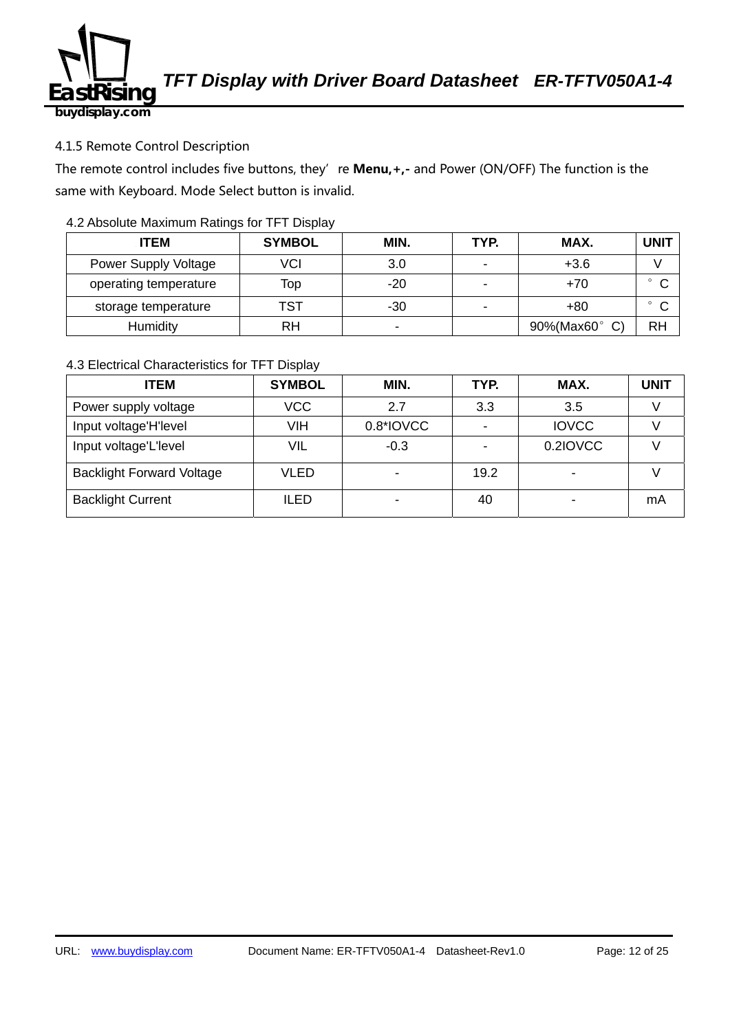

#### 4.1.5 Remote Control Description

The remote control includes five buttons, they' re **Menu, +,-** and Power (ON/OFF) The function is the same with Keyboard. Mode Select button is invalid.

#### 4.2 Absolute Maximum Ratings for TFT Display

| <b>ITEM</b>           | <b>SYMBOL</b> | MIN.           | TYP. | MAX.       | UNIT      |
|-----------------------|---------------|----------------|------|------------|-----------|
| Power Supply Voltage  | VCI           | 3.0            |      | $+3.6$     |           |
| operating temperature | Top           | $-20$          |      | $+70$      | $\sim$    |
| storage temperature   | TST           | -30            |      | $+80$      | $\sim$    |
| Humidity              | RH            | $\blacksquare$ |      | 90%(Max60° | <b>RH</b> |

#### 4.3 Electrical Characteristics for TFT Display

| <b>ITEM</b>                      | <b>SYMBOL</b> | MIN.      | TYP. | MAX.         | UNIT |
|----------------------------------|---------------|-----------|------|--------------|------|
| Power supply voltage             | <b>VCC</b>    | 2.7       | 3.3  | 3.5          |      |
| Input voltage'H'level            | <b>VIH</b>    | 0.8*IOVCC |      | <b>IOVCC</b> |      |
| Input voltage'L'level            | VIL           | $-0.3$    |      | 0.2IOVCC     |      |
| <b>Backlight Forward Voltage</b> | <b>VLED</b>   |           | 19.2 |              |      |
| <b>Backlight Current</b>         | <b>ILED</b>   |           | 40   |              | mA   |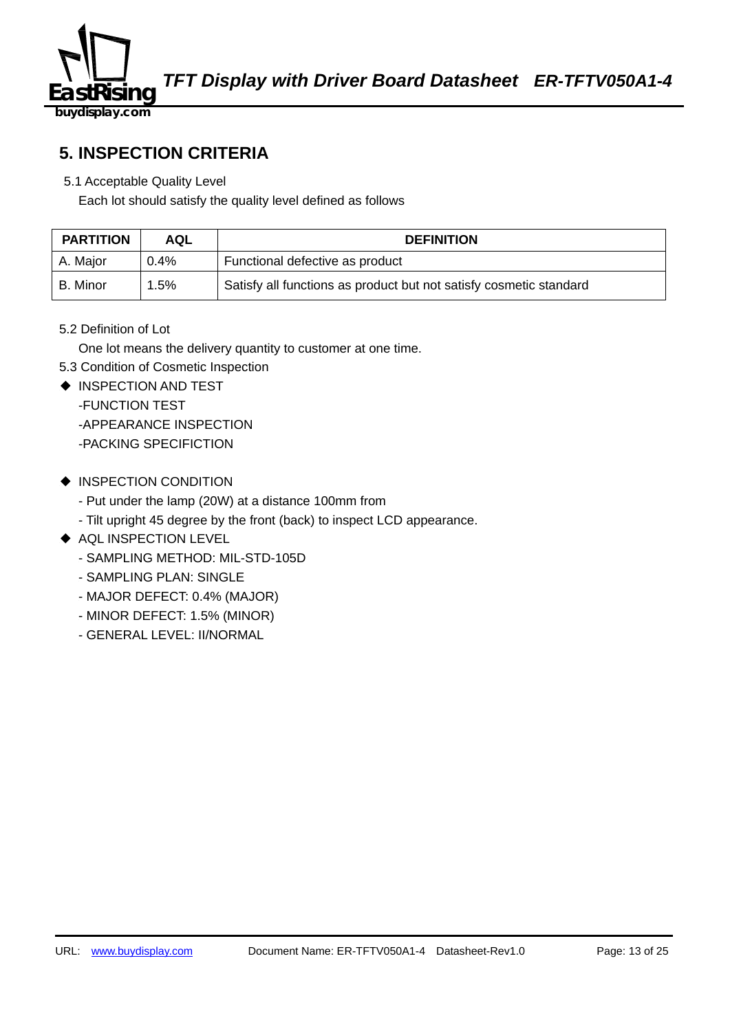

### **5. INSPECTION CRITERIA**

5.1 Acceptable Quality Level

Each lot should satisfy the quality level defined as follows

| <b>PARTITION</b> | <b>AQL</b> | <b>DEFINITION</b>                                                  |
|------------------|------------|--------------------------------------------------------------------|
| A. Major         | $0.4\%$    | Functional defective as product                                    |
| B. Minor         | .5%        | Satisfy all functions as product but not satisfy cosmetic standard |

5.2 Definition of Lot

One lot means the delivery quantity to customer at one time.

- 5.3 Condition of Cosmetic Inspection
- ◆ INSPECTION AND TEST
	- -FUNCTION TEST -APPEARANCE INSPECTION -PACKING SPECIFICTION
- ◆ INSPECTION CONDITION
	- Put under the lamp (20W) at a distance 100mm from
	- Tilt upright 45 degree by the front (back) to inspect LCD appearance.
- ◆ AQL INSPECTION LEVEL
	- SAMPLING METHOD: MIL-STD-105D
	- SAMPLING PLAN: SINGLE
	- MAJOR DEFECT: 0.4% (MAJOR)
	- MINOR DEFECT: 1.5% (MINOR)
	- GENERAL LEVEL: II/NORMAL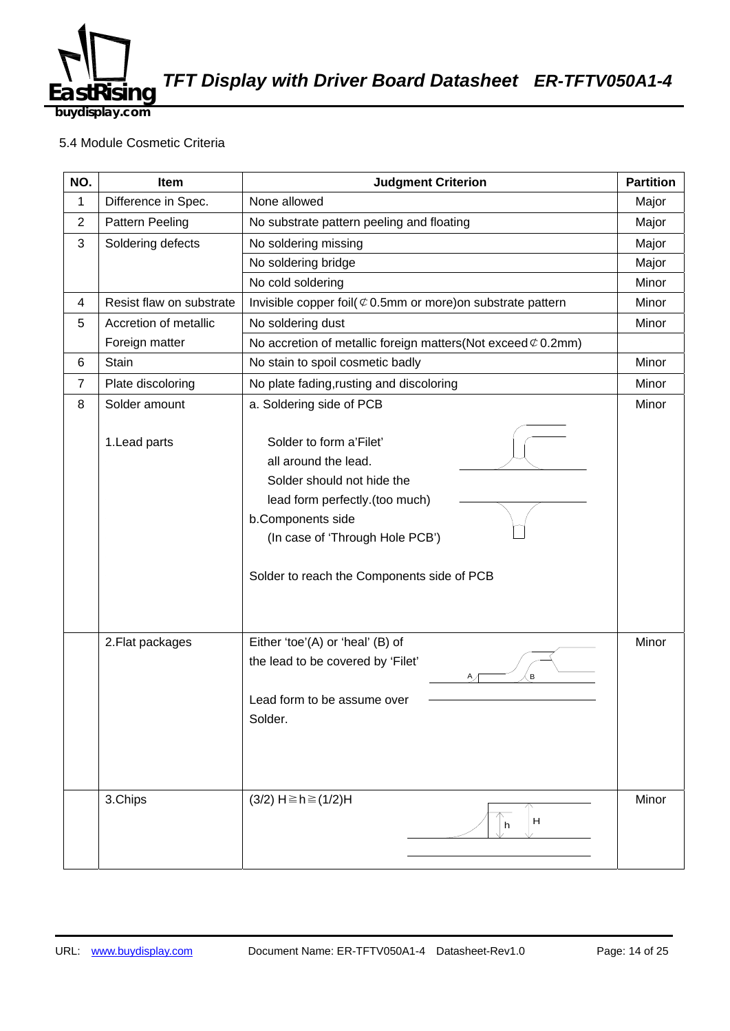

**buydisplay.com**

#### 5.4 Module Cosmetic Criteria

| NO.            | Item                     | <b>Judgment Criterion</b>                                                                                                                                                                                             |       |
|----------------|--------------------------|-----------------------------------------------------------------------------------------------------------------------------------------------------------------------------------------------------------------------|-------|
| $\mathbf{1}$   | Difference in Spec.      | None allowed                                                                                                                                                                                                          | Major |
| $\overline{2}$ | Pattern Peeling          | No substrate pattern peeling and floating                                                                                                                                                                             |       |
| 3              | Soldering defects        | No soldering missing                                                                                                                                                                                                  |       |
|                |                          | No soldering bridge                                                                                                                                                                                                   | Major |
|                |                          | No cold soldering                                                                                                                                                                                                     | Minor |
| 4              | Resist flaw on substrate | Invisible copper foil( $\mathfrak{C}$ 0.5mm or more) on substrate pattern                                                                                                                                             | Minor |
| 5              | Accretion of metallic    | No soldering dust                                                                                                                                                                                                     | Minor |
|                | Foreign matter           | No accretion of metallic foreign matters (Not exceed $\mathcal{C}$ 0.2mm)                                                                                                                                             |       |
| 6              | Stain                    | No stain to spoil cosmetic badly                                                                                                                                                                                      | Minor |
| $\overline{7}$ | Plate discoloring        | No plate fading, rusting and discoloring                                                                                                                                                                              | Minor |
| 8              | Solder amount            | a. Soldering side of PCB                                                                                                                                                                                              | Minor |
|                | 1. Lead parts            | Solder to form a'Filet'<br>all around the lead.<br>Solder should not hide the<br>lead form perfectly.(too much)<br>b.Components side<br>(In case of 'Through Hole PCB')<br>Solder to reach the Components side of PCB |       |
|                | 2. Flat packages         | Either 'toe'(A) or 'heal' (B) of<br>the lead to be covered by 'Filet'<br>B<br>Lead form to be assume over<br>Solder.                                                                                                  | Minor |
|                | 3.Chips                  | $(3/2)$ H ≥ h ≥ $(1/2)$ H<br>Н<br>h                                                                                                                                                                                   | Minor |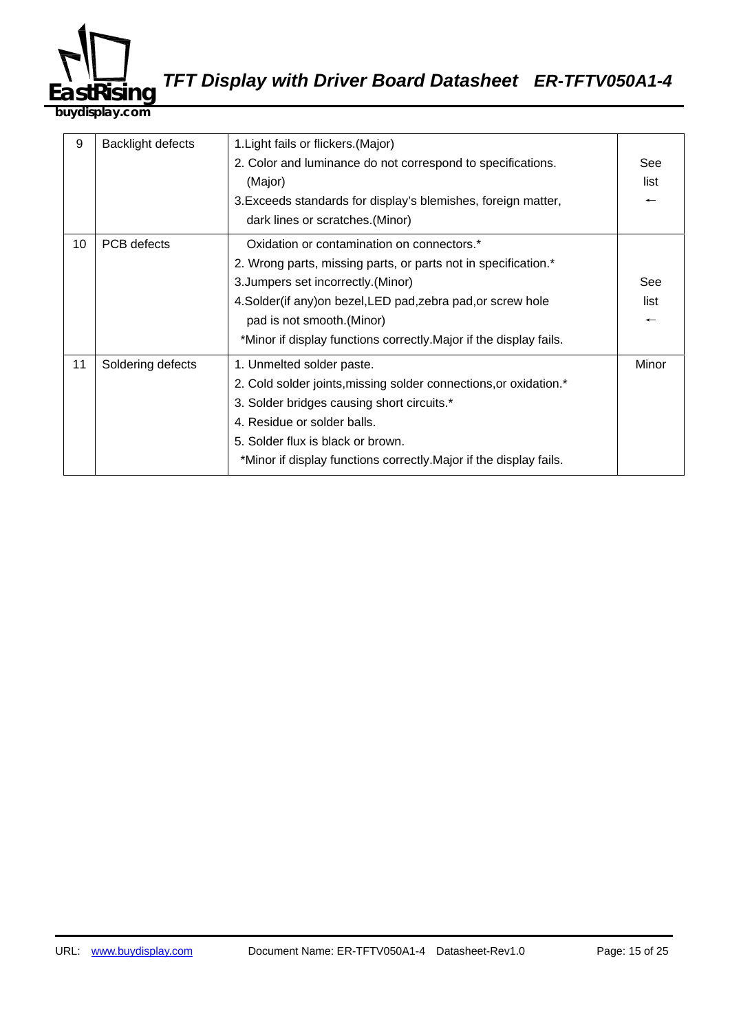

**buydisplay.com**

| 9  | Backlight defects | 1. Light fails or flickers. (Major)                                |       |
|----|-------------------|--------------------------------------------------------------------|-------|
|    |                   | 2. Color and luminance do not correspond to specifications.        |       |
|    |                   | (Major)                                                            |       |
|    |                   | 3. Exceeds standards for display's blemishes, foreign matter,      |       |
|    |                   | dark lines or scratches. (Minor)                                   |       |
| 10 | PCB defects       | Oxidation or contamination on connectors.*                         |       |
|    |                   | 2. Wrong parts, missing parts, or parts not in specification.*     |       |
|    |                   | 3. Jumpers set incorrectly. (Minor)                                | See   |
|    |                   | 4. Solder(if any) on bezel, LED pad, zebra pad, or screw hole      |       |
|    |                   | pad is not smooth.(Minor)                                          |       |
|    |                   | *Minor if display functions correctly. Major if the display fails. |       |
| 11 | Soldering defects | 1. Unmelted solder paste.                                          | Minor |
|    |                   | 2. Cold solder joints, missing solder connections, or oxidation.*  |       |
|    |                   | 3. Solder bridges causing short circuits.*                         |       |
|    |                   | 4. Residue or solder balls.                                        |       |
|    |                   | 5. Solder flux is black or brown.                                  |       |
|    |                   | *Minor if display functions correctly. Major if the display fails. |       |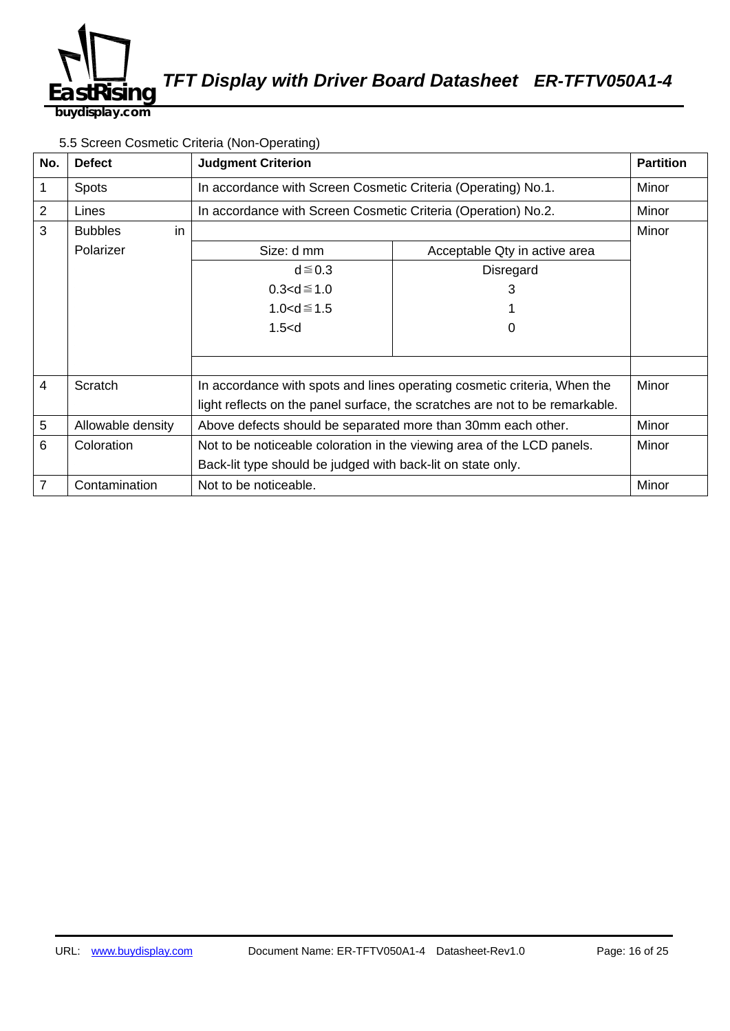

5.5 Screen Cosmetic Criteria (Non-Operating)

| No.            | <b>Defect</b>        | <b>Judgment Criterion</b>                                                    |                                                               | <b>Partition</b> |
|----------------|----------------------|------------------------------------------------------------------------------|---------------------------------------------------------------|------------------|
| 1              | <b>Spots</b>         |                                                                              | In accordance with Screen Cosmetic Criteria (Operating) No.1. |                  |
| $\overline{2}$ | Lines                | In accordance with Screen Cosmetic Criteria (Operation) No.2.                |                                                               | Minor            |
| 3              | in<br><b>Bubbles</b> |                                                                              |                                                               | Minor            |
|                | Polarizer            | Size: d mm                                                                   | Acceptable Qty in active area                                 |                  |
|                |                      | $d \le 0.3$                                                                  | Disregard                                                     |                  |
|                |                      | $0.3 < d \le 1.0$                                                            | 3                                                             |                  |
|                |                      | 1.0 <d <math="">\leq 1.5</d>                                                 |                                                               |                  |
|                |                      | 1.5< d                                                                       | O                                                             |                  |
|                |                      |                                                                              |                                                               |                  |
|                |                      |                                                                              |                                                               |                  |
| $\overline{4}$ | Scratch              | In accordance with spots and lines operating cosmetic criteria, When the     |                                                               | Minor            |
|                |                      | light reflects on the panel surface, the scratches are not to be remarkable. |                                                               |                  |
| $\overline{5}$ | Allowable density    | Above defects should be separated more than 30mm each other.                 |                                                               | Minor            |
| 6              | Coloration           | Not to be noticeable coloration in the viewing area of the LCD panels.       |                                                               | Minor            |
|                |                      | Back-lit type should be judged with back-lit on state only.                  |                                                               |                  |
| 7              | Contamination        | Not to be noticeable.                                                        |                                                               | Minor            |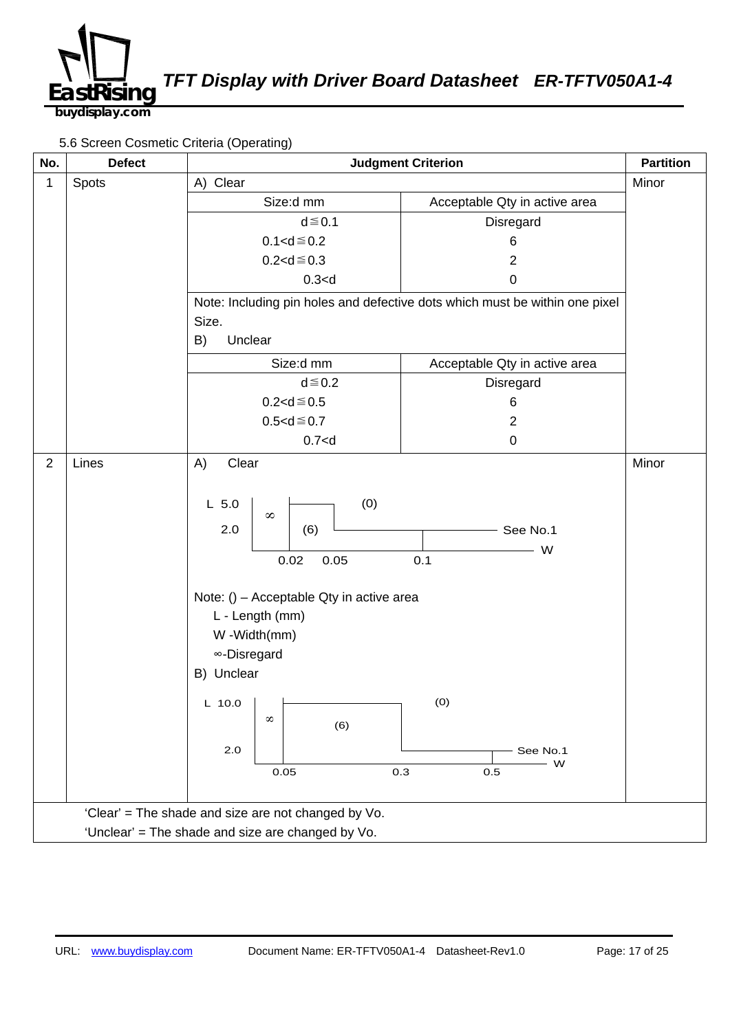

5.6 Screen Cosmetic Criteria (Operating)

| No.                                                 | <b>Defect</b> | <b>Judgment Criterion</b>                                                                                                                                                                                                                             |                                                                             |       |
|-----------------------------------------------------|---------------|-------------------------------------------------------------------------------------------------------------------------------------------------------------------------------------------------------------------------------------------------------|-----------------------------------------------------------------------------|-------|
| 1                                                   | Spots         | A) Clear                                                                                                                                                                                                                                              |                                                                             |       |
|                                                     |               | Size:d mm                                                                                                                                                                                                                                             | Acceptable Qty in active area                                               |       |
|                                                     |               | $d \leq 0.1$                                                                                                                                                                                                                                          | Disregard                                                                   |       |
|                                                     |               | $0.1 < d \le 0.2$                                                                                                                                                                                                                                     | 6                                                                           |       |
|                                                     |               | $0.2 < d \le 0.3$                                                                                                                                                                                                                                     | $\overline{2}$                                                              |       |
|                                                     |               | 0.3 < d                                                                                                                                                                                                                                               | 0                                                                           |       |
|                                                     |               |                                                                                                                                                                                                                                                       | Note: Including pin holes and defective dots which must be within one pixel |       |
|                                                     |               | Size.                                                                                                                                                                                                                                                 |                                                                             |       |
|                                                     |               | Unclear<br>B)                                                                                                                                                                                                                                         |                                                                             |       |
|                                                     |               | Size:d mm                                                                                                                                                                                                                                             | Acceptable Qty in active area                                               |       |
|                                                     |               | $d \leq 0.2$                                                                                                                                                                                                                                          | Disregard                                                                   |       |
|                                                     |               | $0.2 < d \le 0.5$                                                                                                                                                                                                                                     | 6                                                                           |       |
|                                                     |               | $0.5 < d \le 0.7$                                                                                                                                                                                                                                     | $\overline{2}$                                                              |       |
|                                                     |               | $0.7<$ d                                                                                                                                                                                                                                              | $\pmb{0}$                                                                   |       |
| $\overline{2}$                                      | Lines         | A)<br>Clear                                                                                                                                                                                                                                           |                                                                             | Minor |
|                                                     |               | (0)<br>$L$ 5.0<br>$\infty$<br>2.0<br>(6)<br>0.02<br>0.05<br>Note: () - Acceptable Qty in active area<br>L - Length (mm)<br>W -Width(mm)<br><sup>∞</sup> -Disregard<br>B) Unclear<br>L 10.0 $\vert$ $\vert$<br>$^{\circ}$<br>(6)<br>2.0<br>0.3<br>0.05 | See No.1<br>W<br>0.1<br>(0)<br>See No.1<br>- W<br>0.5                       |       |
| 'Clear' = The shade and size are not changed by Vo. |               |                                                                                                                                                                                                                                                       |                                                                             |       |
| 'Unclear' = The shade and size are changed by Vo.   |               |                                                                                                                                                                                                                                                       |                                                                             |       |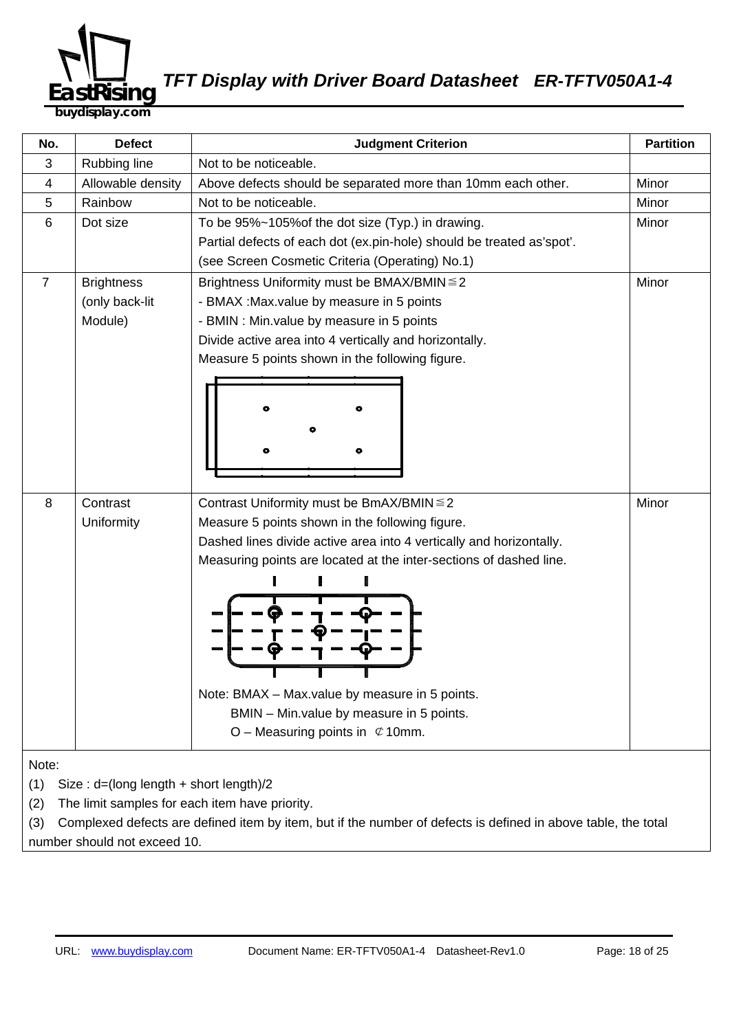

**buydisplay.com**

| No.                                           | <b>Defect</b>                                  | <b>Partition</b><br><b>Judgment Criterion</b>                                                                 |       |  |  |
|-----------------------------------------------|------------------------------------------------|---------------------------------------------------------------------------------------------------------------|-------|--|--|
| 3                                             | Rubbing line                                   | Not to be noticeable.                                                                                         |       |  |  |
| 4                                             | Allowable density                              | Above defects should be separated more than 10mm each other.                                                  | Minor |  |  |
| 5                                             | Rainbow                                        | Not to be noticeable.                                                                                         | Minor |  |  |
| 6                                             | Dot size                                       | To be 95%~105% of the dot size (Typ.) in drawing.                                                             | Minor |  |  |
|                                               |                                                | Partial defects of each dot (ex.pin-hole) should be treated as'spot'.                                         |       |  |  |
|                                               |                                                | (see Screen Cosmetic Criteria (Operating) No.1)                                                               |       |  |  |
| $\overline{7}$                                | <b>Brightness</b>                              | Brightness Uniformity must be BMAX/BMIN ≤ 2                                                                   | Minor |  |  |
|                                               | (only back-lit                                 | - BMAX : Max value by measure in 5 points                                                                     |       |  |  |
|                                               | Module)                                        | - BMIN : Min.value by measure in 5 points                                                                     |       |  |  |
|                                               |                                                | Divide active area into 4 vertically and horizontally.                                                        |       |  |  |
|                                               |                                                | Measure 5 points shown in the following figure.                                                               |       |  |  |
|                                               |                                                |                                                                                                               |       |  |  |
|                                               |                                                |                                                                                                               |       |  |  |
|                                               |                                                |                                                                                                               |       |  |  |
|                                               |                                                |                                                                                                               |       |  |  |
|                                               |                                                |                                                                                                               |       |  |  |
|                                               |                                                |                                                                                                               |       |  |  |
| 8                                             | Contrast                                       | Contrast Uniformity must be BmAX/BMIN ≤ 2                                                                     | Minor |  |  |
|                                               | Uniformity                                     | Measure 5 points shown in the following figure.                                                               |       |  |  |
|                                               |                                                | Dashed lines divide active area into 4 vertically and horizontally.                                           |       |  |  |
|                                               |                                                | Measuring points are located at the inter-sections of dashed line.                                            |       |  |  |
|                                               |                                                |                                                                                                               |       |  |  |
|                                               |                                                |                                                                                                               |       |  |  |
|                                               |                                                |                                                                                                               |       |  |  |
|                                               |                                                |                                                                                                               |       |  |  |
|                                               |                                                |                                                                                                               |       |  |  |
|                                               |                                                |                                                                                                               |       |  |  |
|                                               |                                                | Note: BMAX - Max.value by measure in 5 points.                                                                |       |  |  |
|                                               |                                                | BMIN - Min. value by measure in 5 points.                                                                     |       |  |  |
|                                               |                                                | O – Measuring points in $\mathfrak{C}$ 10mm.                                                                  |       |  |  |
|                                               |                                                |                                                                                                               |       |  |  |
| Note:                                         |                                                |                                                                                                               |       |  |  |
| (1)<br>Size: d=(long length + short length)/2 |                                                |                                                                                                               |       |  |  |
| (2)                                           | The limit samples for each item have priority. |                                                                                                               |       |  |  |
| (3)                                           |                                                | Complexed defects are defined item by item, but if the number of defects is defined in above table, the total |       |  |  |
|                                               | number should not exceed 10.                   |                                                                                                               |       |  |  |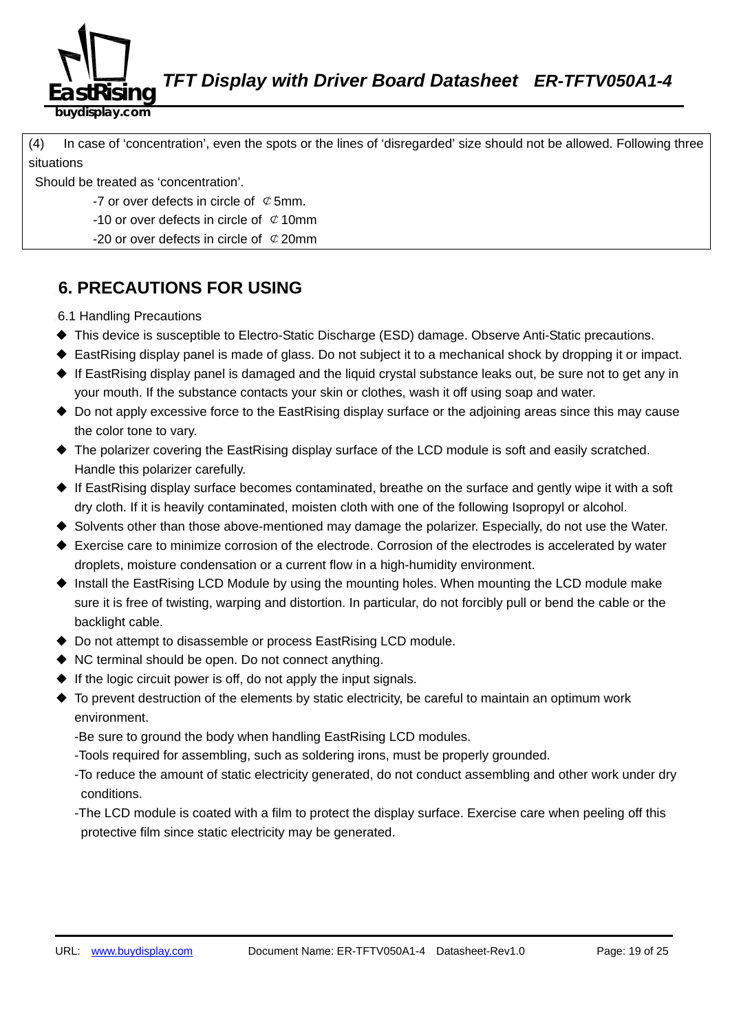

**buydisplay.com**

580B(4) In case of 'concentration', even the spots or the lines of 'disregarded' size should not be allowed. Following three situations

Should be treated as 'concentration'.

-7 or over defects in circle of  $\mathcal C$  5mm.

-10 or over defects in circle of  $\phi$  10mm

-20 or over defects in circle of  $\mathcal{C}$  20mm

## **6. PRECAUTIONS FOR USING**

6.1 Handling Precautions

- ◆ This device is susceptible to Electro-Static Discharge (ESD) damage. Observe Anti-Static precautions.
- ◆ EastRising display panel is made of glass. Do not subject it to a mechanical shock by dropping it or impact.
- $\triangleq$  If EastRising display panel is damaged and the liquid crystal substance leaks out, be sure not to get any in your mouth. If the substance contacts your skin or clothes, wash it off using soap and water.
- ◆ Do not apply excessive force to the EastRising display surface or the adjoining areas since this may cause the color tone to vary.
- ◆ The polarizer covering the EastRising display surface of the LCD module is soft and easily scratched. Handle this polarizer carefully.
- ◆ If EastRising display surface becomes contaminated, breathe on the surface and gently wipe it with a soft dry cloth. If it is heavily contaminated, moisten cloth with one of the following Isopropyl or alcohol.
- ◆ Solvents other than those above-mentioned may damage the polarizer. Especially, do not use the Water.
- ◆ Exercise care to minimize corrosion of the electrode. Corrosion of the electrodes is accelerated by water droplets, moisture condensation or a current flow in a high-humidity environment.
- ◆ Install the EastRising LCD Module by using the mounting holes. When mounting the LCD module make sure it is free of twisting, warping and distortion. In particular, do not forcibly pull or bend the cable or the backlight cable.
- ◆ Do not attempt to disassemble or process EastRising LCD module.
- ◆ NC terminal should be open. Do not connect anything.
- $\bullet$  If the logic circuit power is off, do not apply the input signals.
- ◆ To prevent destruction of the elements by static electricity, be careful to maintain an optimum work environment.

-Be sure to ground the body when handling EastRising LCD modules.

- -Tools required for assembling, such as soldering irons, must be properly grounded.
- -To reduce the amount of static electricity generated, do not conduct assembling and other work under dry conditions.
- -The LCD module is coated with a film to protect the display surface. Exercise care when peeling off this protective film since static electricity may be generated.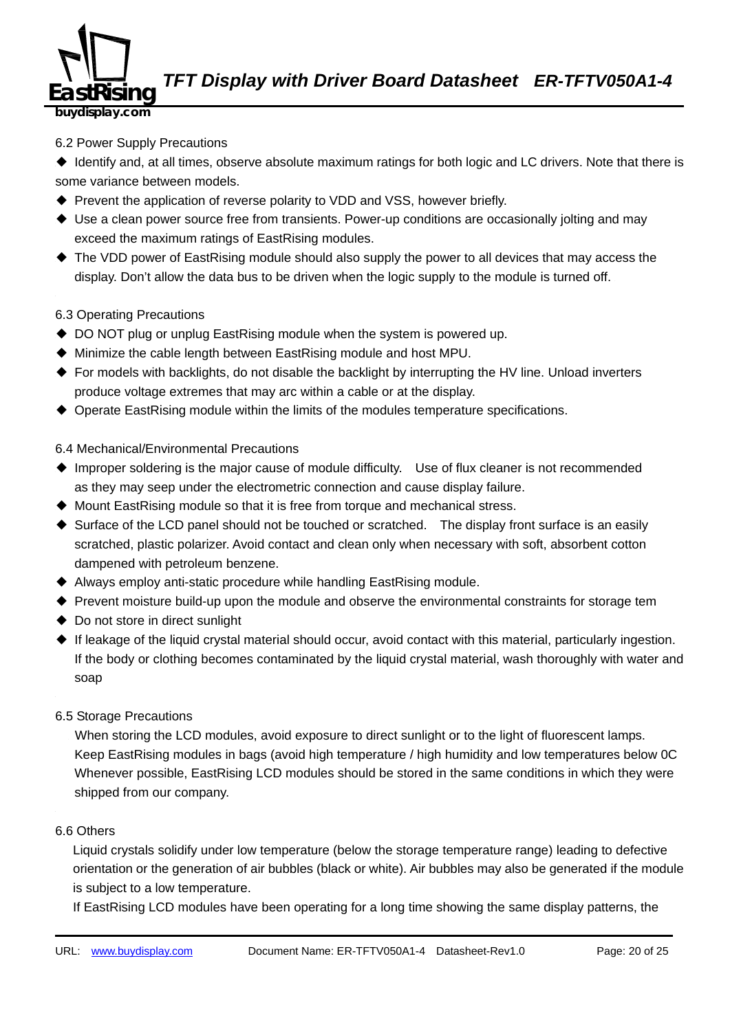

**buydisplay.com**

#### 6.2 Power Supply Precautions

◆ Identify and, at all times, observe absolute maximum ratings for both logic and LC drivers. Note that there is some variance between models.

- ◆ Prevent the application of reverse polarity to VDD and VSS, however briefly.
- ◆ Use a clean power source free from transients. Power-up conditions are occasionally jolting and may exceed the maximum ratings of EastRising modules.
- ◆ The VDD power of EastRising module should also supply the power to all devices that may access the display. Don't allow the data bus to be driven when the logic supply to the module is turned off.

#### 6.3 Operating Precautions

- ◆ DO NOT plug or unplug EastRising module when the system is powered up.
- ◆ Minimize the cable length between EastRising module and host MPU.
- ◆ For models with backlights, do not disable the backlight by interrupting the HV line. Unload inverters produce voltage extremes that may arc within a cable or at the display.
- ◆ Operate EastRising module within the limits of the modules temperature specifications.

#### 6.4 Mechanical/Environmental Precautions

- ◆ Improper soldering is the major cause of module difficulty. Use of flux cleaner is not recommended as they may seep under the electrometric connection and cause display failure.
- ◆ Mount EastRising module so that it is free from torque and mechanical stress.
- ◆ Surface of the LCD panel should not be touched or scratched. The display front surface is an easily scratched, plastic polarizer. Avoid contact and clean only when necessary with soft, absorbent cotton dampened with petroleum benzene.
- ◆ Always employ anti-static procedure while handling EastRising module.
- ◆ Prevent moisture build-up upon the module and observe the environmental constraints for storage tem
- ◆ Do not store in direct sunlight
- ◆ If leakage of the liquid crystal material should occur, avoid contact with this material, particularly ingestion. If the body or clothing becomes contaminated by the liquid crystal material, wash thoroughly with water and soap
- 6.5 Storage Precautions

When storing the LCD modules, avoid exposure to direct sunlight or to the light of fluorescent lamps. Keep EastRising modules in bags (avoid high temperature / high humidity and low temperatures below OC Whenever possible, EastRising LCD modules should be stored in the same conditions in which they were shipped from our company.

#### 6.6 Others

Liquid crystals solidify under low temperature (below the storage temperature range) leading to defective orientation or the generation of air bubbles (black or white). Air bubbles may also be generated if the module is subject to a low temperature.

If EastRising LCD modules have been operating for a long time showing the same display patterns, the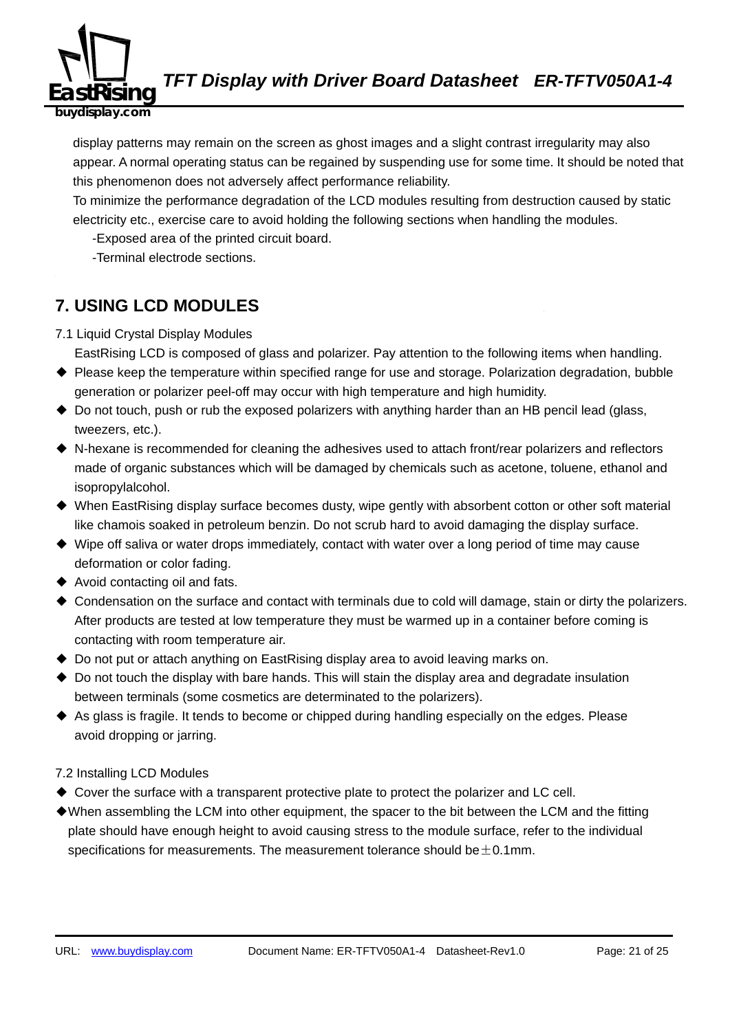

display patterns may remain on the screen as ghost images and a slight contrast irregularity may also appear. A normal operating status can be regained by suspending use for some time. It should be noted that this phenomenon does not adversely affect performance reliability.

To minimize the performance degradation of the LCD modules resulting from destruction caused by static electricity etc., exercise care to avoid holding the following sections when handling the modules.

-Exposed area of the printed circuit board.

-Terminal electrode sections.

## **7. USING LCD MODULES**

7.1 Liquid Crystal Display Modules

EastRising LCD is composed of glass and polarizer. Pay attention to the following items when handling.

- ◆ Please keep the temperature within specified range for use and storage. Polarization degradation, bubble generation or polarizer peel-off may occur with high temperature and high humidity.
- ◆ Do not touch, push or rub the exposed polarizers with anything harder than an HB pencil lead (glass, tweezers, etc.).
- ◆ N-hexane is recommended for cleaning the adhesives used to attach front/rear polarizers and reflectors made of organic substances which will be damaged by chemicals such as acetone, toluene, ethanol and isopropylalcohol.
- ◆ When EastRising display surface becomes dusty, wipe gently with absorbent cotton or other soft material like chamois soaked in petroleum benzin. Do not scrub hard to avoid damaging the display surface.
- ◆ Wipe off saliva or water drops immediately, contact with water over a long period of time may cause deformation or color fading.
- ◆ Avoid contacting oil and fats.
- ◆ Condensation on the surface and contact with terminals due to cold will damage, stain or dirty the polarizers. After products are tested at low temperature they must be warmed up in a container before coming is contacting with room temperature air.
- ◆ Do not put or attach anything on EastRising display area to avoid leaving marks on.
- $\triangle$  Do not touch the display with bare hands. This will stain the display area and degradate insulation between terminals (some cosmetics are determinated to the polarizers).
- ◆ As glass is fragile. It tends to become or chipped during handling especially on the edges. Please avoid dropping or jarring.

#### 7.2 Installing LCD Modules

- ◆ Cover the surface with a transparent protective plate to protect the polarizer and LC cell.
- ◆When assembling the LCM into other equipment, the spacer to the bit between the LCM and the fitting plate should have enough height to avoid causing stress to the module surface, refer to the individual specifications for measurements. The measurement tolerance should be $\pm$ 0.1mm.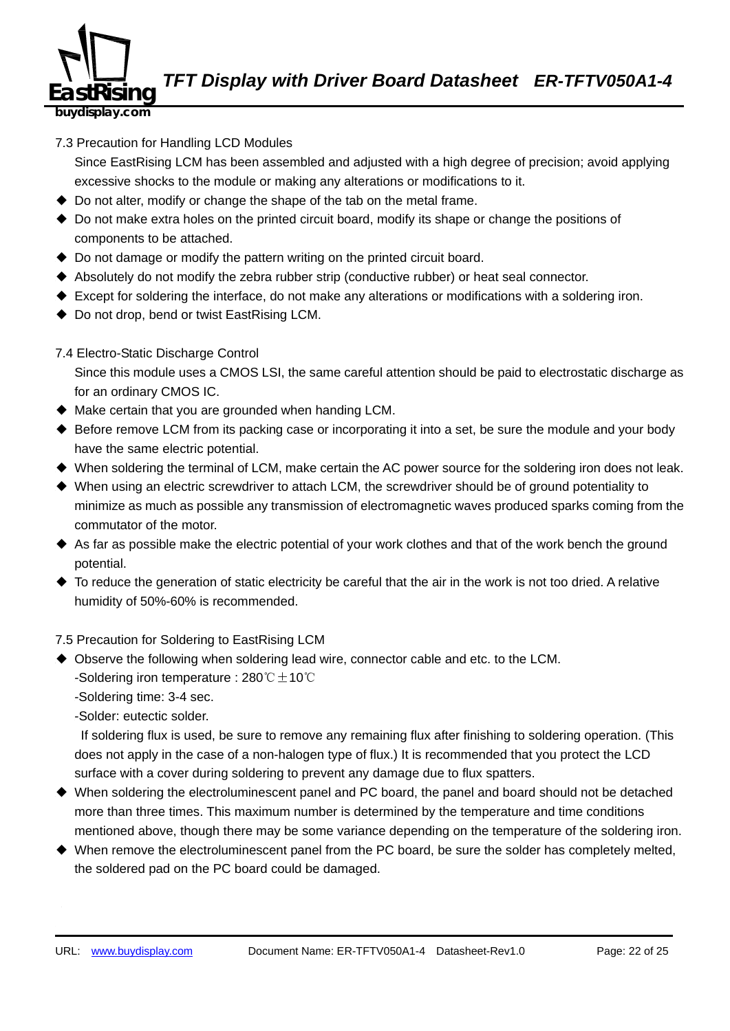

7.3 Precaution for Handling LCD Modules

Since EastRising LCM has been assembled and adjusted with a high degree of precision; avoid applying excessive shocks to the module or making any alterations or modifications to it.

- $\triangle$  Do not alter, modify or change the shape of the tab on the metal frame.
- ◆ Do not make extra holes on the printed circuit board, modify its shape or change the positions of components to be attached.
- ◆ Do not damage or modify the pattern writing on the printed circuit board.
- ◆ Absolutely do not modify the zebra rubber strip (conductive rubber) or heat seal connector.
- ◆ Except for soldering the interface, do not make any alterations or modifications with a soldering iron.
- ◆ Do not drop, bend or twist EastRising LCM.
- 7.4 Electro-Static Discharge Control

Since this module uses a CMOS LSI, the same careful attention should be paid to electrostatic discharge as for an ordinary CMOS IC.

- ◆ Make certain that you are grounded when handing LCM.
- ◆ Before remove LCM from its packing case or incorporating it into a set, be sure the module and your body have the same electric potential.
- ◆ When soldering the terminal of LCM, make certain the AC power source for the soldering iron does not leak.
- ◆ When using an electric screwdriver to attach LCM, the screwdriver should be of ground potentiality to minimize as much as possible any transmission of electromagnetic waves produced sparks coming from the commutator of the motor.
- ◆ As far as possible make the electric potential of your work clothes and that of the work bench the ground potential.
- ◆ To reduce the generation of static electricity be careful that the air in the work is not too dried. A relative humidity of 50%-60% is recommended.

7.5 Precaution for Soldering to EastRising LCM

◆ Observe the following when soldering lead wire, connector cable and etc. to the LCM. -Soldering iron temperature : 280℃ $±$ 10℃

-Soldering time: 3-4 sec.

-Solder: eutectic solder.

If soldering flux is used, be sure to remove any remaining flux after finishing to soldering operation. (This does not apply in the case of a non-halogen type of flux.) It is recommended that you protect the LCD surface with a cover during soldering to prevent any damage due to flux spatters.

- ◆ When soldering the electroluminescent panel and PC board, the panel and board should not be detached more than three times. This maximum number is determined by the temperature and time conditions mentioned above, though there may be some variance depending on the temperature of the soldering iron.
- ◆ When remove the electroluminescent panel from the PC board, be sure the solder has completely melted, the soldered pad on the PC board could be damaged.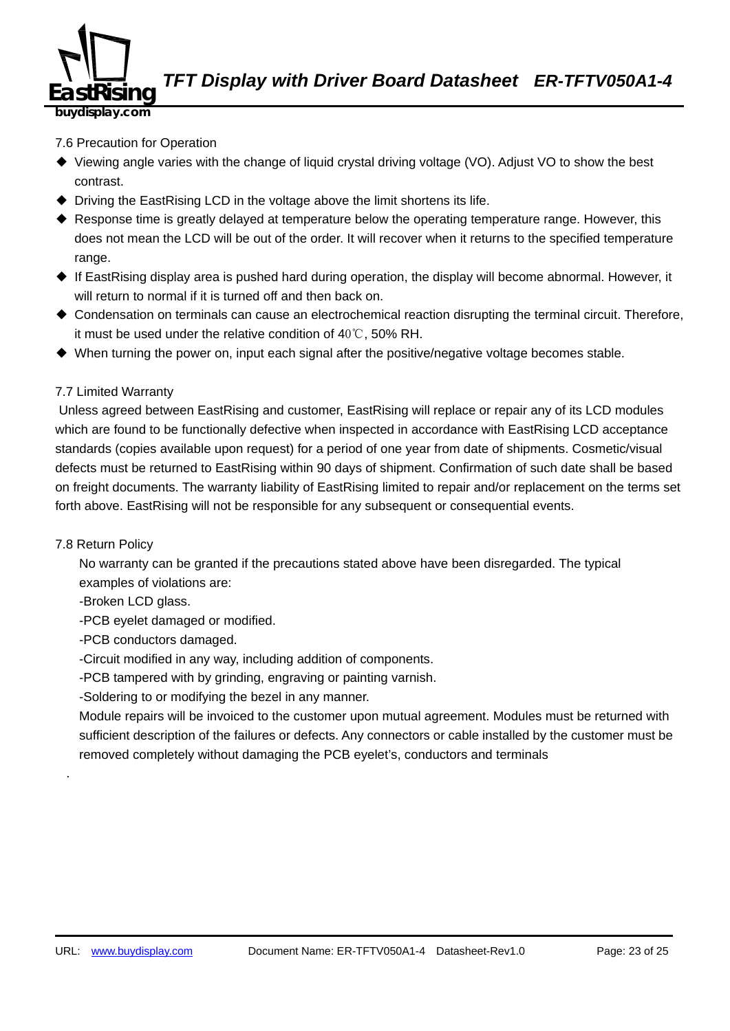

**buydisplay.com**

#### 7.6 Precaution for Operation

- ◆ Viewing angle varies with the change of liquid crystal driving voltage (VO). Adjust VO to show the best contrast.
- ◆ Driving the EastRising LCD in the voltage above the limit shortens its life.
- ◆ Response time is greatly delayed at temperature below the operating temperature range. However, this does not mean the LCD will be out of the order. It will recover when it returns to the specified temperature range.
- ◆ If EastRising display area is pushed hard during operation, the display will become abnormal. However, it will return to normal if it is turned off and then back on.
- ◆ Condensation on terminals can cause an electrochemical reaction disrupting the terminal circuit. Therefore, it must be used under the relative condition of 40℃, 50% RH.
- ◆ When turning the power on, input each signal after the positive/negative voltage becomes stable.

#### 7.7 Limited Warranty

Unless agreed between EastRising and customer, EastRising will replace or repair any of its LCD modules which are found to be functionally defective when inspected in accordance with EastRising LCD acceptance standards (copies available upon request) for a period of one year from date of shipments. Cosmetic/visual defects must be returned to EastRising within 90 days of shipment. Confirmation of such date shall be based on freight documents. The warranty liability of EastRising limited to repair and/or replacement on the terms set forth above. EastRising will not be responsible for any subsequent or consequential events.

#### 7.8 Return Policy

70B432.

No warranty can be granted if the precautions stated above have been disregarded. The typical examples of violations are:

-Broken LCD glass.

-PCB eyelet damaged or modified.

-PCB conductors damaged.

-Circuit modified in any way, including addition of components.

-PCB tampered with by grinding, engraving or painting varnish.

-Soldering to or modifying the bezel in any manner.

Module repairs will be invoiced to the customer upon mutual agreement. Modules must be returned with sufficient description of the failures or defects. Any connectors or cable installed by the customer must be removed completely without damaging the PCB eyelet's, conductors and terminals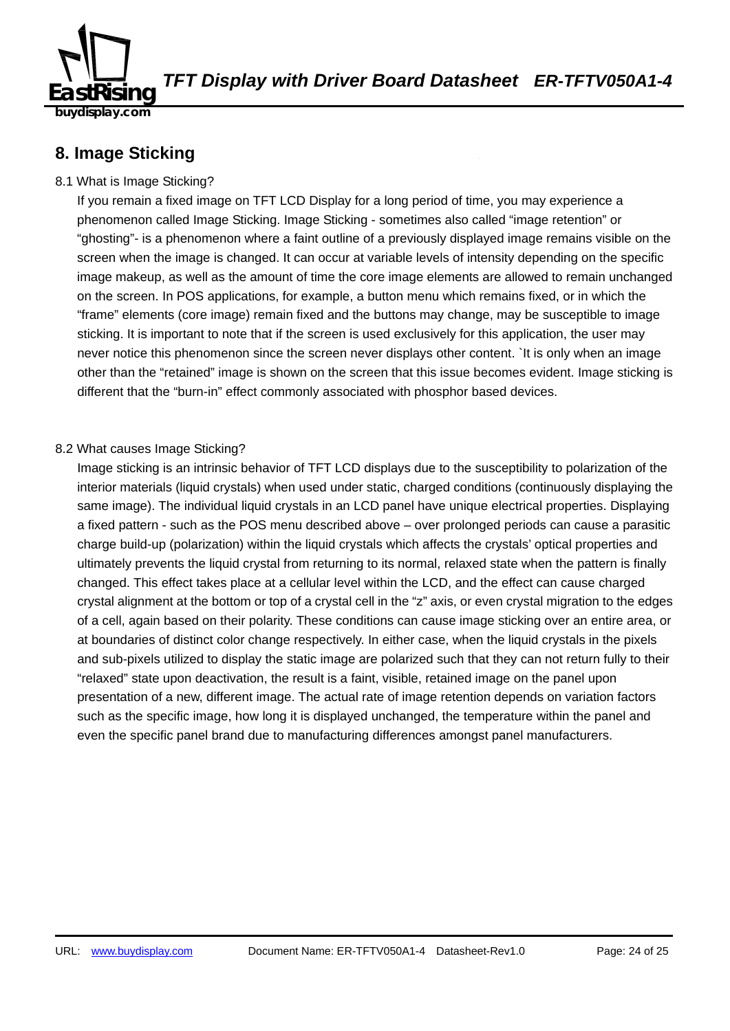

### **8. Image Sticking**

#### 8.1 What is Image Sticking?

If you remain a fixed image on TFT LCD Display for a long period of time, you may experience a phenomenon called Image Sticking. Image Sticking - sometimes also called "image retention" or "ghosting"- is a phenomenon where a faint outline of a previously displayed image remains visible on the screen when the image is changed. It can occur at variable levels of intensity depending on the specific image makeup, as well as the amount of time the core image elements are allowed to remain unchanged on the screen. In POS applications, for example, a button menu which remains fixed, or in which the "frame" elements (core image) remain fixed and the buttons may change, may be susceptible to image sticking. It is important to note that if the screen is used exclusively for this application, the user may never notice this phenomenon since the screen never displays other content. `It is only when an image other than the "retained" image is shown on the screen that this issue becomes evident. Image sticking is different that the "burn-in" effect commonly associated with phosphor based devices.

#### 8.2 What causes Image Sticking?

Image sticking is an intrinsic behavior of TFT LCD displays due to the susceptibility to polarization of the interior materials (liquid crystals) when used under static, charged conditions (continuously displaying the same image). The individual liquid crystals in an LCD panel have unique electrical properties. Displaying a fixed pattern - such as the POS menu described above – over prolonged periods can cause a parasitic charge build-up (polarization) within the liquid crystals which affects the crystals' optical properties and ultimately prevents the liquid crystal from returning to its normal, relaxed state when the pattern is finally changed. This effect takes place at a cellular level within the LCD, and the effect can cause charged crystal alignment at the bottom or top of a crystal cell in the "z" axis, or even crystal migration to the edges of a cell, again based on their polarity. These conditions can cause image sticking over an entire area, or at boundaries of distinct color change respectively. In either case, when the liquid crystals in the pixels and sub-pixels utilized to display the static image are polarized such that they can not return fully to their "relaxed" state upon deactivation, the result is a faint, visible, retained image on the panel upon presentation of a new, different image. The actual rate of image retention depends on variation factors such as the specific image, how long it is displayed unchanged, the temperature within the panel and even the specific panel brand due to manufacturing differences amongst panel manufacturers.